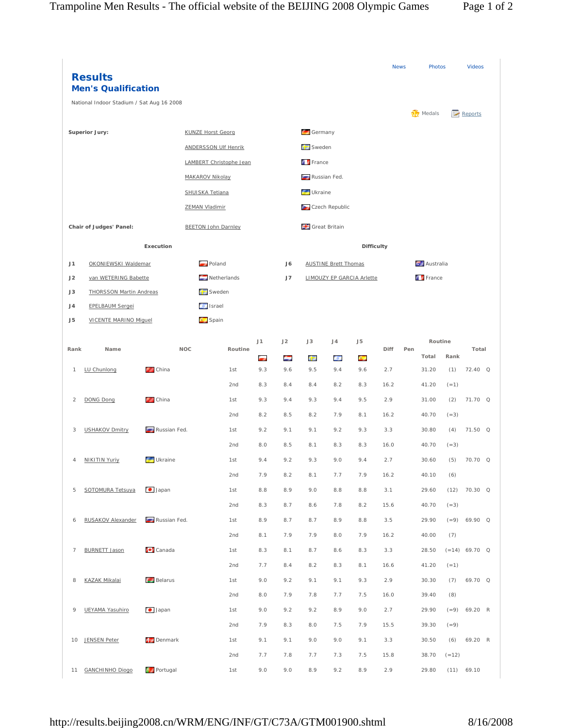|                | <b>Results</b><br><b>Men's Qualification</b> |                    |                             |         |                 |     |                                  |                             |                   | <b>News</b> |               | Photos          |         | <b>Videos</b>   |  |
|----------------|----------------------------------------------|--------------------|-----------------------------|---------|-----------------|-----|----------------------------------|-----------------------------|-------------------|-------------|---------------|-----------------|---------|-----------------|--|
|                | National Indoor Stadium / Sat Aug 16 2008    |                    |                             |         |                 |     |                                  |                             |                   |             |               |                 |         |                 |  |
|                |                                              |                    | <b>KUNZE Horst Georg</b>    |         |                 |     | Germany                          |                             |                   |             |               | <b>W</b> Medals |         | Reports         |  |
| Superior Jury: |                                              |                    | <b>ANDERSSON Ulf Henrik</b> |         |                 |     | Sweden                           |                             |                   |             |               |                 |         |                 |  |
|                |                                              |                    |                             |         |                 |     | <b>France</b>                    |                             |                   |             |               |                 |         |                 |  |
|                |                                              |                    | LAMBERT Christophe Jean     |         |                 |     |                                  |                             |                   |             |               |                 |         |                 |  |
|                |                                              |                    | <b>MAKAROV Nikolay</b>      |         |                 |     | Russian Fed.                     |                             |                   |             |               |                 |         |                 |  |
|                |                                              |                    | <b>SHUISKA Tetiana</b>      |         |                 |     | Ukraine                          |                             |                   |             |               |                 |         |                 |  |
|                |                                              |                    | <b>ZEMAN Vladimir</b>       |         |                 |     | Czech Republic                   |                             |                   |             |               |                 |         |                 |  |
|                | Chair of Judges' Panel:                      |                    | <b>BEETON John Darnley</b>  |         |                 |     | Great Britain                    |                             |                   |             |               |                 |         |                 |  |
|                |                                              | Execution          |                             |         |                 |     |                                  |                             | <b>Difficulty</b> |             |               |                 |         |                 |  |
| J1             | <b>OKONIEWSKI Waldemar</b>                   |                    | Poland                      |         |                 | J6  |                                  | <b>AUSTINE Brett Thomas</b> |                   |             |               | Australia       |         |                 |  |
| J2             | van WETERING Babette                         |                    | $N$ etherlands              |         |                 | J7  | <b>LIMOUZY EP GARCIA Arlette</b> |                             |                   |             | <b>France</b> |                 |         |                 |  |
| J3             | <b>THORSSON Martin Andreas</b>               |                    | Sweden                      |         |                 |     |                                  |                             |                   |             |               |                 |         |                 |  |
| J <sub>4</sub> | <b>EPELBAUM Sergei</b>                       |                    | <b>o</b> Israel             |         |                 |     |                                  |                             |                   |             |               |                 |         |                 |  |
| J <sub>5</sub> | <b>VICENTE MARINO Miguel</b>                 |                    | Spain                       |         |                 |     |                                  |                             |                   |             |               |                 |         |                 |  |
|                |                                              |                    |                             |         | J1              | J2  | J3                               | J4                          | J <sub>5</sub>    |             |               | Routine         |         |                 |  |
| Rank           | Name                                         | <b>NOC</b>         |                             | Routine | <b>Contract</b> | ÷   | 62                               | $\alpha$                    | A.                | Diff        | Pen           | Total           | Rank    | Total           |  |
| $\mathbf{1}$   | LU Chunlong                                  | <b>China</b>       |                             | 1st     | 9.3             | 9.6 | 9.5                              | 9.4                         | 9.6               | 2.7         |               | 31.20           | (1)     | 72.40 Q         |  |
|                |                                              |                    |                             | 2nd     | 8.3             | 8.4 | 8.4                              | 8.2                         | 8.3               | 16.2        |               | 41.20           | $(=1)$  |                 |  |
| $\overline{2}$ | DONG Dong                                    | <sup>2</sup> China |                             | 1st     | 9.3             | 9.4 | 9.3                              | 9.4                         | 9.5               | 2.9         |               | 31.00           | (2)     | 71.70 Q         |  |
|                |                                              |                    |                             | 2nd     | 8.2             | 8.5 | 8.2                              | 7.9                         | 8.1               | 16.2        |               | 40.70           | $(=3)$  |                 |  |
| 3              | <b>USHAKOV Dmitry</b>                        | Russian Fed.       |                             | 1st     | 9.2             | 9.1 | 9.1                              | 9.2                         | 9.3               | 3.3         |               | 30.80           | (4)     | 71.50 Q         |  |
|                |                                              |                    |                             | 2nd     | 8.0             | 8.5 | 8.1                              | 8.3                         | 8.3               | 16.0        |               | 40.70           | $(=3)$  |                 |  |
| 4              | <b>NIKITIN Yuriy</b>                         | Ukraine            |                             | 1st     | 9.4             | 9.2 | 9.3                              | 9.0                         | 9.4               | 2.7         |               | 30.60           | (5)     | 70.70 Q         |  |
|                |                                              |                    |                             | 2nd     | 7.9             | 8.2 | 8.1                              | 7.7                         | 7.9               | 16.2        |               | 40.10           | (6)     |                 |  |
| 5              | SOTOMURA Tetsuya                             | $\bullet$ Japan    |                             | 1st     | 8.8             | 8.9 | 9.0                              | 8.8                         | 8.8               | 3.1         |               | 29.60           | (12)    | 70.30 Q         |  |
|                |                                              |                    |                             | 2nd     | 8.3             | 8.7 | 8.6                              | 7.8                         | 8.2               | 15.6        |               | 40.70           | $(=3)$  |                 |  |
| 6              | <b>RUSAKOV Alexander</b>                     | Russian Fed.       |                             | 1st     | 8.9             | 8.7 | 8.7                              | 8.9                         | 8.8               | 3.5         |               | 29.90           |         | $(=9)$ 69.90 Q  |  |
|                |                                              |                    |                             | 2nd     | 8.1             | 7.9 | 7.9                              | 8.0                         | 7.9               | 16.2        |               | 40.00           | (7)     |                 |  |
| 7              | <b>BURNETT Jason</b>                         | $\bullet$ Canada   |                             | 1st     | 8.3             | 8.1 | 8.7                              | 8.6                         | 8.3               | 3.3         |               | 28.50           |         | $(=14)$ 69.70 Q |  |
|                |                                              |                    |                             | 2nd     | 7.7             | 8.4 | 8.2                              | 8.3                         | 8.1               | 16.6        |               | 41.20           | $(=1)$  |                 |  |
| 8              | <b>KAZAK Mikalai</b>                         | <b>Belarus</b>     |                             | 1st     | 9.0             | 9.2 | 9.1                              | 9.1                         | 9.3               | 2.9         |               | 30.30           | (7)     | 69.70 Q         |  |
|                |                                              |                    |                             | 2nd     | 8.0             | 7.9 | 7.8                              | 7.7                         | 7.5               | 16.0        |               | 39.40           | (8)     |                 |  |
| 9              | UEYAMA Yasuhiro                              | $\bullet$ Japan    |                             | 1st     | 9.0             | 9.2 | 9.2                              | 8.9                         | 9.0               | 2.7         |               | 29.90           |         | $(=9)$ 69.20 R  |  |
|                |                                              |                    |                             | 2nd     | 7.9             | 8.3 | 8.0                              | 7.5                         | 7.9               | 15.5        |               | 39.30           | $(=9)$  |                 |  |
|                | 10 JENSEN Peter                              | Denmark            |                             | 1st     | 9.1             | 9.1 | 9.0                              | 9.0                         | 9.1               | 3.3         |               | 30.50           | (6)     | 69.20 R         |  |
|                |                                              |                    |                             | 2nd     | 7.7             | 7.8 | 7.7                              | 7.3                         | 7.5               | 15.8        |               | 38.70           | $(=12)$ |                 |  |
|                | 11 GANCHINHO Diogo                           | <b>Portugal</b>    |                             | 1st     | 9.0             | 9.0 | 8.9                              | 9.2                         | 8.9               | 2.9         |               | 29.80           |         | $(11)$ 69.10    |  |

http://results.beijing2008.cn/WRM/ENG/INF/GT/C73A/GTM001900.shtml 8/16/2008